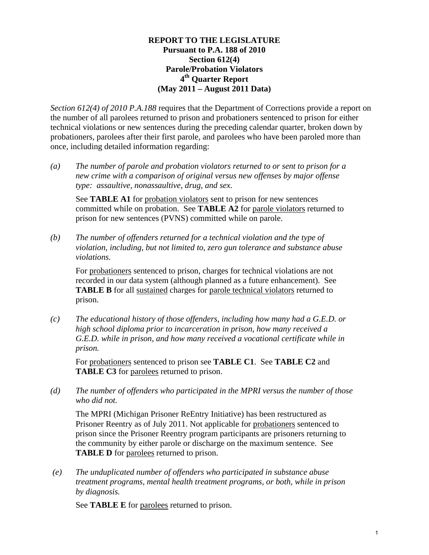#### **REPORT TO THE LEGISLATURE Pursuant to P.A. 188 of 2010 Section 612(4) Parole/Probation Violators 4th Quarter Report (May 2011 – August 2011 Data)**

*Section 612(4) of 2010 P.A.188* requires that the Department of Corrections provide a report on the number of all parolees returned to prison and probationers sentenced to prison for either technical violations or new sentences during the preceding calendar quarter, broken down by probationers, parolees after their first parole, and parolees who have been paroled more than once, including detailed information regarding:

*(a) The number of parole and probation violators returned to or sent to prison for a new crime with a comparison of original versus new offenses by major offense type: assaultive, nonassaultive, drug, and sex.* 

See **TABLE A1** for probation violators sent to prison for new sentences committed while on probation. See **TABLE A2** for parole violators returned to prison for new sentences (PVNS) committed while on parole.

*(b) The number of offenders returned for a technical violation and the type of violation, including, but not limited to, zero gun tolerance and substance abuse violations.* 

For probationers sentenced to prison, charges for technical violations are not recorded in our data system (although planned as a future enhancement). See **TABLE B** for all sustained charges for parole technical violators returned to prison.

*(c) The educational history of those offenders, including how many had a G.E.D. or high school diploma prior to incarceration in prison, how many received a G.E.D. while in prison, and how many received a vocational certificate while in prison.* 

For probationers sentenced to prison see **TABLE C1**. See **TABLE C2** and **TABLE C3** for parolees returned to prison.

*(d) The number of offenders who participated in the MPRI versus the number of those who did not.* 

The MPRI (Michigan Prisoner ReEntry Initiative) has been restructured as Prisoner Reentry as of July 2011. Not applicable for probationers sentenced to prison since the Prisoner Reentry program participants are prisoners returning to the community by either parole or discharge on the maximum sentence. See **TABLE D** for parolees returned to prison.

 *(e) The unduplicated number of offenders who participated in substance abuse treatment programs, mental health treatment programs, or both, while in prison by diagnosis.* 

See **TABLE E** for parolees returned to prison.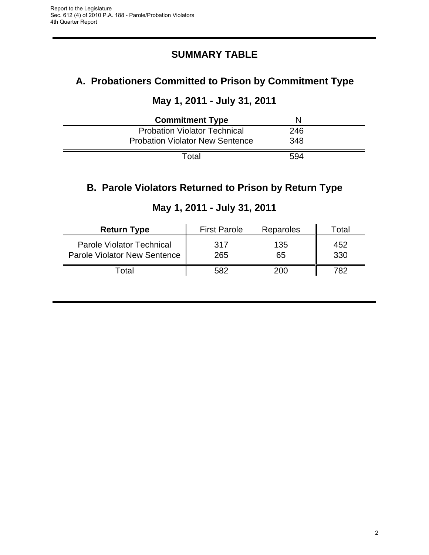# **SUMMARY TABLE**

# **A. Probationers Committed to Prison by Commitment Type**

# **May 1, 2011 - July 31, 2011**

| <b>Commitment Type</b>                 | N   |  |
|----------------------------------------|-----|--|
| <b>Probation Violator Technical</b>    | 246 |  |
| <b>Probation Violator New Sentence</b> | 348 |  |
| Total                                  | 594 |  |

# **B. Parole Violators Returned to Prison by Return Type**

| <b>Return Type</b>                                                      | <b>First Parole</b> | Reparoles | Total      |
|-------------------------------------------------------------------------|---------------------|-----------|------------|
| <b>Parole Violator Technical</b><br><b>Parole Violator New Sentence</b> | 317<br>265          | 135<br>65 | 452<br>330 |
| Total                                                                   | 582                 | 200       | 782.       |

### **May 1, 2011 - July 31, 2011**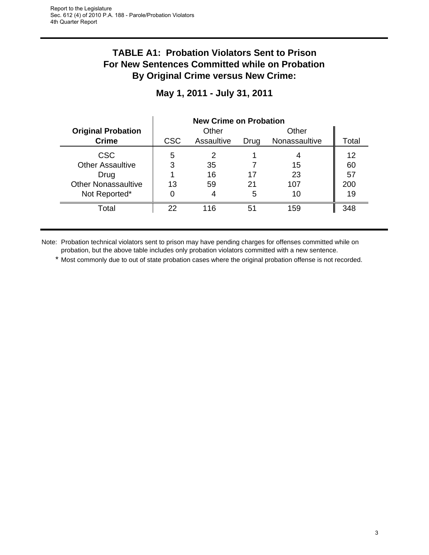# **TABLE A1: Probation Violators Sent to Prison For New Sentences Committed while on Probation By Original Crime versus New Crime:**

|                            | <b>New Crime on Probation</b> |            |      |               |       |
|----------------------------|-------------------------------|------------|------|---------------|-------|
| <b>Original Probation</b>  |                               | Other      |      | Other         |       |
| <b>Crime</b>               | <b>CSC</b>                    | Assaultive | Drug | Nonassaultive | Total |
| <b>CSC</b>                 | 5                             | 2          |      |               | 12    |
| <b>Other Assaultive</b>    | 3                             | 35         |      | 15            | 60    |
| Drug                       |                               | 16         | 17   | 23            | 57    |
| <b>Other Nonassaultive</b> | 13                            | 59         | 21   | 107           | 200   |
| Not Reported*              |                               |            | 5    | 10            | 19    |
| Total                      | 22                            | 116        | 51   | 159           | 348   |

### **May 1, 2011 - July 31, 2011**

Note: Probation technical violators sent to prison may have pending charges for offenses committed while on probation, but the above table includes only probation violators committed with a new sentence.

\* Most commonly due to out of state probation cases where the original probation offense is not recorded.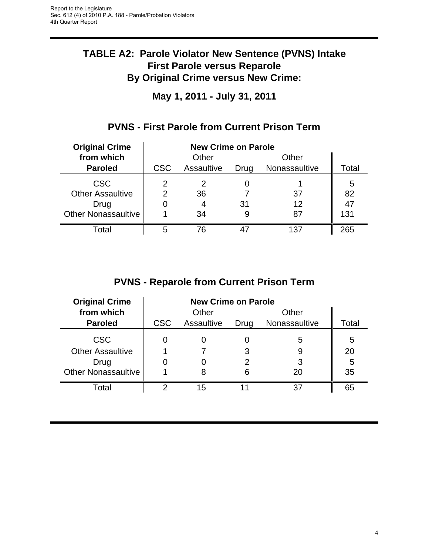# **TABLE A2: Parole Violator New Sentence (PVNS) Intake First Parole versus Reparole By Original Crime versus New Crime:**

**May 1, 2011 - July 31, 2011**

| <b>Original Crime</b>      | <b>New Crime on Parole</b> |            |      |               |       |
|----------------------------|----------------------------|------------|------|---------------|-------|
| from which                 | Other<br>Other             |            |      |               |       |
| <b>Paroled</b>             | <b>CSC</b>                 | Assaultive | Drug | Nonassaultive | Total |
| <b>CSC</b>                 | 2                          |            |      |               | 5     |
| <b>Other Assaultive</b>    | 2                          | 36         |      | 37            | 82    |
| Drug                       |                            | 4          | 31   | 12            | 47    |
| <b>Other Nonassaultive</b> |                            | 34         |      | 87            | 131   |
| Total                      | 5                          | 76         |      | 137           | 265   |

# **PVNS - First Parole from Current Prison Term**

# **PVNS - Reparole from Current Prison Term**

| <b>Original Crime</b>      | <b>New Crime on Parole</b> |            |      |               |       |
|----------------------------|----------------------------|------------|------|---------------|-------|
| from which                 |                            | Other      |      | Other         |       |
| <b>Paroled</b>             | <b>CSC</b>                 | Assaultive | Drug | Nonassaultive | Total |
| <b>CSC</b>                 |                            |            |      | 5             | 5     |
| <b>Other Assaultive</b>    |                            |            |      |               | 20    |
| Drug                       |                            |            |      |               | 5     |
| <b>Other Nonassaultive</b> |                            |            | 6    | 20            | 35    |
| Total                      |                            | 15         |      | 37            | 65    |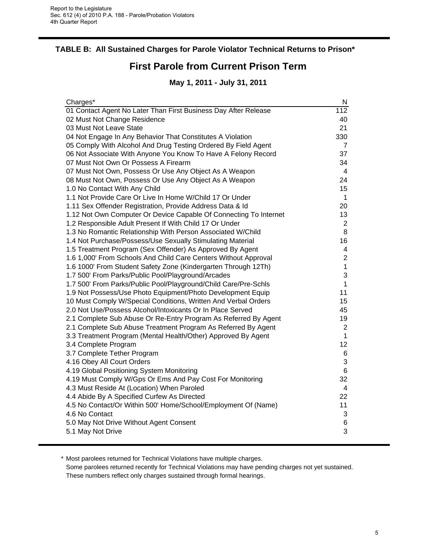#### **TABLE B: All Sustained Charges for Parole Violator Technical Returns to Prison\***

# **First Parole from Current Prison Term**

### **May 1, 2011 - July 31, 2011**

| Charges*                                                          | N                        |
|-------------------------------------------------------------------|--------------------------|
| 01 Contact Agent No Later Than First Business Day After Release   | $\overline{112}$         |
| 02 Must Not Change Residence                                      | 40                       |
| 03 Must Not Leave State                                           | 21                       |
| 04 Not Engage In Any Behavior That Constitutes A Violation        | 330                      |
| 05 Comply With Alcohol And Drug Testing Ordered By Field Agent    | 7                        |
| 06 Not Associate With Anyone You Know To Have A Felony Record     | 37                       |
| 07 Must Not Own Or Possess A Firearm                              | 34                       |
| 07 Must Not Own, Possess Or Use Any Object As A Weapon            | $\overline{\mathcal{A}}$ |
| 08 Must Not Own, Possess Or Use Any Object As A Weapon            | 24                       |
| 1.0 No Contact With Any Child                                     | 15                       |
| 1.1 Not Provide Care Or Live In Home W/Child 17 Or Under          | 1                        |
| 1.11 Sex Offender Registration, Provide Address Data & Id         | 20                       |
| 1.12 Not Own Computer Or Device Capable Of Connecting To Internet | 13                       |
| 1.2 Responsible Adult Present If With Child 17 Or Under           | $\overline{2}$           |
| 1.3 No Romantic Relationship With Person Associated W/Child       | 8                        |
| 1.4 Not Purchase/Possess/Use Sexually Stimulating Material        | 16                       |
| 1.5 Treatment Program (Sex Offender) As Approved By Agent         | 4                        |
| 1.6 1,000' From Schools And Child Care Centers Without Approval   | $\mathbf 2$              |
| 1.6 1000' From Student Safety Zone (Kindergarten Through 12Th)    | $\mathbf 1$              |
| 1.7 500' From Parks/Public Pool/Playground/Arcades                | 3                        |
| 1.7 500' From Parks/Public Pool/Playground/Child Care/Pre-Schls   | $\mathbf{1}$             |
| 1.9 Not Possess/Use Photo Equipment/Photo Development Equip       | 11                       |
| 10 Must Comply W/Special Conditions, Written And Verbal Orders    | 15                       |
| 2.0 Not Use/Possess Alcohol/Intoxicants Or In Place Served        | 45                       |
| 2.1 Complete Sub Abuse Or Re-Entry Program As Referred By Agent   | 19                       |
| 2.1 Complete Sub Abuse Treatment Program As Referred By Agent     | $\overline{2}$           |
| 3.3 Treatment Program (Mental Health/Other) Approved By Agent     | $\mathbf{1}$             |
| 3.4 Complete Program                                              | 12                       |
| 3.7 Complete Tether Program                                       | 6                        |
| 4.16 Obey All Court Orders                                        | 3                        |
| 4.19 Global Positioning System Monitoring                         | 6                        |
| 4.19 Must Comply W/Gps Or Ems And Pay Cost For Monitoring         | 32                       |
| 4.3 Must Reside At (Location) When Paroled                        | 4                        |
| 4.4 Abide By A Specified Curfew As Directed                       | 22                       |
| 4.5 No Contact/Or Within 500' Home/School/Employment Of (Name)    | 11                       |
| 4.6 No Contact                                                    | 3                        |
| 5.0 May Not Drive Without Agent Consent                           | 6                        |
| 5.1 May Not Drive                                                 | 3                        |
|                                                                   |                          |

\* Most parolees returned for Technical Violations have multiple charges.

Some parolees returned recently for Technical Violations may have pending charges not yet sustained. These numbers reflect only charges sustained through formal hearings.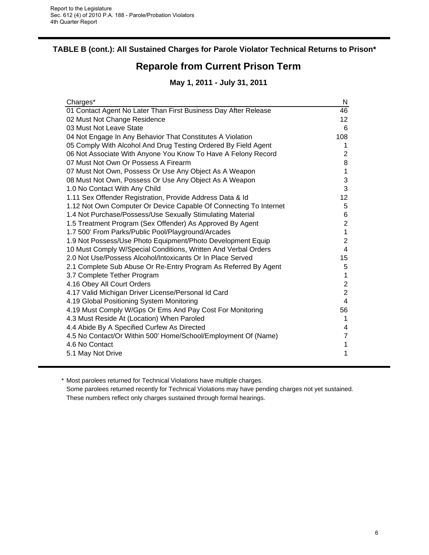### **TABLE B (cont.): All Sustained Charges for Parole Violator Technical Returns to Prison\***

# **Reparole from Current Prison Term**

### **May 1, 2011 - July 31, 2011**

| Charges*                                                          | N                       |
|-------------------------------------------------------------------|-------------------------|
| 01 Contact Agent No Later Than First Business Day After Release   | 46                      |
| 02 Must Not Change Residence                                      | 12                      |
| 03 Must Not Leave State                                           | 6                       |
| 04 Not Engage In Any Behavior That Constitutes A Violation        | 108                     |
| 05 Comply With Alcohol And Drug Testing Ordered By Field Agent    | 1                       |
| 06 Not Associate With Anyone You Know To Have A Felony Record     | 2                       |
| 07 Must Not Own Or Possess A Firearm                              | 8                       |
| 07 Must Not Own, Possess Or Use Any Object As A Weapon            | 1                       |
| 08 Must Not Own, Possess Or Use Any Object As A Weapon            | 3                       |
| 1.0 No Contact With Any Child                                     | 3                       |
| 1.11 Sex Offender Registration, Provide Address Data & Id         | 12                      |
| 1.12 Not Own Computer Or Device Capable Of Connecting To Internet | 5                       |
| 1.4 Not Purchase/Possess/Use Sexually Stimulating Material        | 6                       |
| 1.5 Treatment Program (Sex Offender) As Approved By Agent         | $\overline{2}$          |
| 1.7 500' From Parks/Public Pool/Playground/Arcades                | $\mathbf{1}$            |
| 1.9 Not Possess/Use Photo Equipment/Photo Development Equip       | $\overline{2}$          |
| 10 Must Comply W/Special Conditions, Written And Verbal Orders    | 4                       |
| 2.0 Not Use/Possess Alcohol/Intoxicants Or In Place Served        | 15                      |
| 2.1 Complete Sub Abuse Or Re-Entry Program As Referred By Agent   | 5                       |
| 3.7 Complete Tether Program                                       | $\mathbf{1}$            |
| 4.16 Obey All Court Orders                                        | $\overline{\mathbf{c}}$ |
| 4.17 Valid Michigan Driver License/Personal Id Card               | $\overline{2}$          |
| 4.19 Global Positioning System Monitoring                         | $\overline{4}$          |
| 4.19 Must Comply W/Gps Or Ems And Pay Cost For Monitoring         | 56                      |
| 4.3 Must Reside At (Location) When Paroled                        | 1                       |
| 4.4 Abide By A Specified Curfew As Directed                       | 4                       |
| 4.5 No Contact/Or Within 500' Home/School/Employment Of (Name)    | $\overline{7}$          |
| 4.6 No Contact                                                    | 1                       |
| 5.1 May Not Drive                                                 | 1                       |
|                                                                   |                         |

\* Most parolees returned for Technical Violations have multiple charges.

Some parolees returned recently for Technical Violations may have pending charges not yet sustained. These numbers reflect only charges sustained through formal hearings.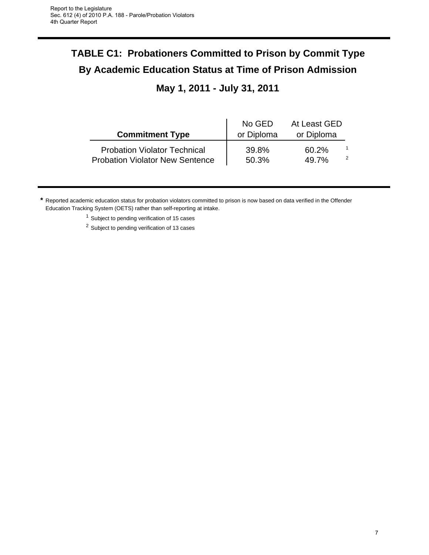# **TABLE C1: Probationers Committed to Prison by Commit Type By Academic Education Status at Time of Prison Admission May 1, 2011 - July 31, 2011**

|                                                                               | No GED         | At Least GED   |   |
|-------------------------------------------------------------------------------|----------------|----------------|---|
| <b>Commitment Type</b>                                                        | or Diploma     | or Diploma     |   |
| <b>Probation Violator Technical</b><br><b>Probation Violator New Sentence</b> | 39.8%<br>50.3% | 60.2%<br>49.7% | 2 |

**\*** Reported academic education status for probation violators committed to prison is now based on data verified in the Offender Education Tracking System (OETS) rather than self-reporting at intake.

 $1$  Subject to pending verification of 15 cases

<sup>2</sup> Subject to pending verification of 13 cases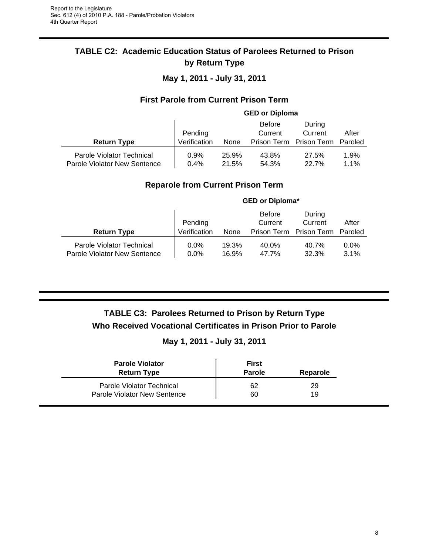### **TABLE C2: Academic Education Status of Parolees Returned to Prison by Return Type**

**May 1, 2011 - July 31, 2011**

#### **First Parole from Current Prison Term**

|                                                           | <b>GED or Diploma</b>   |                |                          |                                                      |              |
|-----------------------------------------------------------|-------------------------|----------------|--------------------------|------------------------------------------------------|--------------|
| <b>Return Type</b>                                        | Pending<br>Verification | None           | <b>Before</b><br>Current | During<br>Current<br>Prison Term Prison Term Paroled | After        |
| Parole Violator Technical<br>Parole Violator New Sentence | 0.9%<br>0.4%            | 25.9%<br>21.5% | 43.8%<br>54.3%           | 27.5%<br><b>22.7%</b>                                | 1.9%<br>1.1% |

#### **Reparole from Current Prison Term**

|                                                           | <b>GED or Diploma*</b>  |                |                                         |                                          |                 |
|-----------------------------------------------------------|-------------------------|----------------|-----------------------------------------|------------------------------------------|-----------------|
| <b>Return Type</b>                                        | Pending<br>Verification | None           | <b>Before</b><br>Current<br>Prison Term | During<br>Current<br>Prison Term Paroled | After           |
| Parole Violator Technical<br>Parole Violator New Sentence | 0.0%<br>$0.0\%$         | 19.3%<br>16.9% | 40.0%<br>47.7%                          | 40.7%<br>32.3%                           | $0.0\%$<br>3.1% |

# **TABLE C3: Parolees Returned to Prison by Return Type Who Received Vocational Certificates in Prison Prior to Parole**

#### **May 1, 2011 - July 31, 2011**

| <b>Parole Violator</b><br><b>Return Type</b> | <b>First</b><br><b>Parole</b> | Reparole |
|----------------------------------------------|-------------------------------|----------|
| Parole Violator Technical                    | 62                            | 29       |
| Parole Violator New Sentence                 | 60                            | 19       |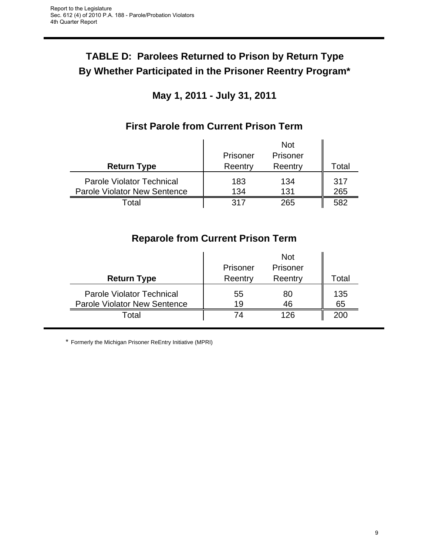# **TABLE D: Parolees Returned to Prison by Return Type By Whether Participated in the Prisoner Reentry Program\***

# **May 1, 2011 - July 31, 2011**

|                                                                         | Prisoner   | <b>Not</b><br>Prisoner |            |
|-------------------------------------------------------------------------|------------|------------------------|------------|
| <b>Return Type</b>                                                      | Reentry    | Reentry                | Total      |
| <b>Parole Violator Technical</b><br><b>Parole Violator New Sentence</b> | 183<br>134 | 134<br>131             | 317<br>265 |
| Гоtal                                                                   | 317        | 265                    | 582        |

# **First Parole from Current Prison Term**

# **Reparole from Current Prison Term**

| <b>Return Type</b>                                                      | Prisoner<br>Reentry | <b>Not</b><br>Prisoner<br>Reentry | Total     |
|-------------------------------------------------------------------------|---------------------|-----------------------------------|-----------|
| <b>Parole Violator Technical</b><br><b>Parole Violator New Sentence</b> | 55<br>19            | 80<br>46                          | 135<br>65 |
| Total                                                                   | 74                  | 126                               | 200       |

\* Formerly the Michigan Prisoner ReEntry Initiative (MPRI)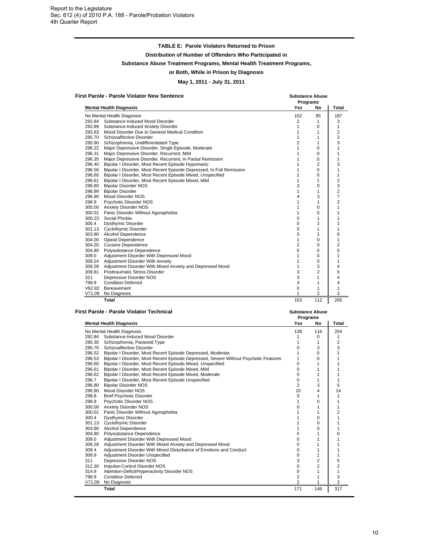#### **TABLE E: Parole Violators Returned to Prison**

**Distribution of Number of Offenders Who Participated in**

**Substance Abuse Treatment Programs, Mental Health Treatment Programs,**

#### **or Both, While in Prison by Diagnosis**

**May 1, 2011 - July 31, 2011**

|        | <b>First Parole - Parole Violator New Sentence</b>                   | <b>Substance Abuse</b><br>Programs |                |                |
|--------|----------------------------------------------------------------------|------------------------------------|----------------|----------------|
|        | <b>Mental Health Diagnosis</b>                                       | Yes                                | No             | <b>Total</b>   |
|        | No Mental Health Diagnosis                                           | 102                                | 85             | 187            |
|        | 292.84 Substance-Induced Mood Disorder                               | 2                                  | 1              | 3              |
| 292.89 | Substance-Induced Anxiety Disorder                                   | $\mathbf{1}$                       | 0              | 1              |
| 293.83 | Mood Disorder Due to General Medical Condition                       | $\mathbf{1}$                       | 1              | 2              |
| 295.70 | Schizoaffective Disorder                                             | 1                                  | 1              | 2              |
| 295.90 | Schizophrenia, Undifferentiated Type                                 | 2                                  | 1              | 3              |
| 296.22 | Major Depressive Disorder, Single Episode, Moderate                  | $\mathbf{1}$                       | $\Omega$       | 1              |
| 296.31 | Major Depressive Disorder, Recurrent, Mild                           | 1                                  | $\Omega$       | 1              |
| 296.35 | Major Depressive Disorder, Recurrent, In Partial Remission           | $\mathbf{1}$                       | $\Omega$       | 1              |
| 296.40 | Bipolar I Disorder, Most Recent Episode Hypomanic                    | 1                                  | 2              | 3              |
| 296.56 | Bipolar I Disorder, Most Recent Episode Depressed, In Full Remission | 1                                  | $\Omega$       | 1              |
| 296.60 | Bipolar I Disorder, Most Recent Episode Mixed, Unspecified           | 1                                  | $\Omega$       | 1              |
| 296.61 | Bipolar I Disorder, Most Recent Episode Mixed, Mild                  | $\mathbf{1}$                       | 1              | 2              |
| 296.80 | <b>Bipolar Disorder NOS</b>                                          | 3                                  | 0              | 3              |
| 296.89 | <b>Bipolar Disorder</b>                                              | 1                                  | 1              | 2              |
| 296.90 | Mood Disorder NOS                                                    | 4                                  | 3              | $\overline{7}$ |
| 298.9  | Psychotic Disorder NOS                                               | 1                                  | 1              | 2              |
| 300.00 | <b>Anxiety Disorder NOS</b>                                          | $\mathbf{1}$                       | $\Omega$       | 1              |
| 300.01 | Panic Disorder Without Agoraphobia                                   | $\mathbf{1}$                       | $\Omega$       | 1              |
| 300.23 | Social Phobia                                                        | 0                                  | 1              | 1              |
| 300.4  | <b>Dysthymic Disorder</b>                                            | $\Omega$                           | 2              | $\overline{2}$ |
|        | 301.13 Cyclothymic Disorder                                          | 0                                  | 1              | 1              |
|        | 303.90 Alcohol Dependence                                            | 5                                  | 1              | 6              |
| 304.00 | <b>Opioid Dependence</b>                                             | 1                                  | 0              | 1              |
| 304.20 | Cocaine Dependence                                                   | 2                                  | 0              | 2              |
| 304.80 | Polysubstance Dependence                                             | 5                                  | $\Omega$       | 5              |
| 309.0  | Adjustment Disorder With Depressed Mood                              | $\mathbf{1}$                       | $\Omega$       | 1              |
| 309.24 | Adjustment Disorder With Anxiety                                     | $\mathbf{1}$                       | $\Omega$       | 1              |
| 309.28 | Adjustment Disorder With Mixed Anxiety and Depressed Mood            | $\mathbf{1}$                       | 3              | 4              |
| 309.81 | Posttraumatic Stress Disorder                                        | 3                                  | 2              | 5              |
| 311    | Depressive Disorder NOS                                              | 3                                  | 1              | 4              |
| 799.9  | <b>Condition Deferred</b>                                            | 3                                  | 1              | 4              |
| V62.82 | Bereavement                                                          | 0                                  | 1              | 1              |
| V71.09 | No Diagnosis                                                         | 1                                  | $\overline{2}$ | 3              |
|        | Total                                                                | 153                                | 112            | 265            |

#### **First Parole - Parole Violator Technical Substance Abuse**

|        |                                                                                      | Programs |                |                |
|--------|--------------------------------------------------------------------------------------|----------|----------------|----------------|
|        | <b>Mental Health Diagnosis</b>                                                       | Yes      | No             | Total          |
|        | No Mental Health Diagnosis                                                           | 138      | 116            | 254            |
|        | 292.84 Substance-Induced Mood Disorder                                               |          | 0              |                |
| 295.30 | Schizophrenia, Paranoid Type                                                         |          |                | $\overline{2}$ |
| 295.70 | Schizoaffective Disorder                                                             | O        | 3              | 3              |
|        | 296.52 Bipolar I Disorder, Most Recent Episode Depressed, Moderate                   |          | 0              |                |
| 296.53 | Bipolar I Disorder, Most Recent Episode Depressed, Severe Without Psychotic Features |          | 0              |                |
| 296.60 | Bipolar I Disorder, Most Recent Episode Mixed, Unspecified                           | $\Omega$ |                |                |
| 296.61 | Bipolar I Disorder, Most Recent Episode Mixed, Mild                                  | $\Omega$ |                |                |
| 296.62 | Bipolar I Disorder, Most Recent Episode Mixed, Moderate                              | 0        |                |                |
| 296.7  | Bipolar I Disorder, Most Recent Episode Unspecified                                  | 0        |                |                |
| 296.80 | <b>Bipolar Disorder NOS</b>                                                          | 2        | 3              | 5              |
| 296.90 | Mood Disorder NOS                                                                    | 10       | 4              | 14             |
| 298.8  | <b>Brief Psychotic Disorder</b>                                                      | $\Omega$ |                |                |
| 298.9  | Psychotic Disorder NOS                                                               |          | 0              |                |
| 300.00 | <b>Anxiety Disorder NOS</b>                                                          | 0        |                |                |
| 300.01 | Panic Disorder Without Agoraphobia                                                   |          |                | 2              |
| 300.4  | <b>Dysthymic Disorder</b>                                                            |          | $\Omega$       |                |
| 301.13 | <b>Cyclothymic Disorder</b>                                                          |          | $\Omega$       |                |
| 303.90 | Alcohol Dependence                                                                   |          | 0              |                |
| 304.80 | Polysubstance Dependence                                                             | 5        |                | 6              |
| 309.0  | Adjustment Disorder With Depressed Mood                                              | 0        |                |                |
| 309.28 | Adjustment Disorder With Mixed Anxiety and Depressed Mood                            | 0        |                |                |
| 309.4  | Adjustment Disorder With Mixed Disturbance of Emotions and Conduct                   | 0        |                |                |
| 309.9  | Adjustment Disorder Unspecified                                                      | $\Omega$ |                |                |
| 311    | Depressive Disorder NOS                                                              | 3        | $\overline{2}$ | 5              |
| 312.30 | Impulse-Control Disorder NOS                                                         | 0        | 2              | 2              |
| 314.9  | Attention-Deficit/Hyperactivity Disorder NOS                                         | 0        |                |                |
| 799.9  | <b>Condition Deferred</b>                                                            | 2        |                | 3              |
| V71.09 | No Diagnosis                                                                         | 2        |                | 3              |
|        | <b>Total</b>                                                                         | 171      | 146            | 317            |
|        |                                                                                      |          |                |                |